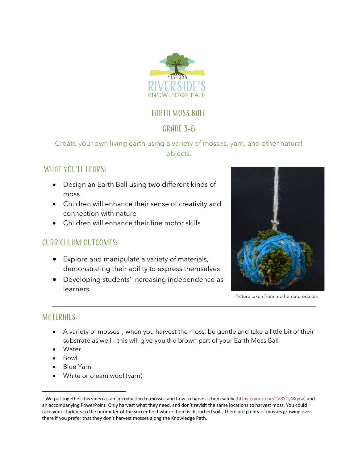

# Earth Moss Ball

# $GRADF$  3-8

Create your own living earth using a variety of mosses, yarn, and other natural objects.

# WHAT YOU'LL LEARN:

- Design an Earth Ball using two different kinds of moss
- Children will enhance their sense of creativity and connection with nature
- Children will enhance their fine motor skills

### Curriculum outcomes:

- Explore and manipulate a variety of materials, demonstrating their ability to express themselves
- Developing students' increasing independence as learners



Picture taken from mothernatured.com

#### MATERIALS:

- $\bullet$  A variety of mosses<sup>1</sup>; when you harvest the moss, be gentle and take a little bit of their substrate as well – this will give you the brown part of your Earth Moss Ball
- Water
- Bowl
- Blue Yarn
- White or cream wool (yarn)

<sup>&</sup>lt;sup>1</sup> We put together this video as an introduction to mosses and how to harvest them safely (https://youtu.be/TV8YTyNXyiw) and an accompanying PowerPoint. Only harvest what they need, and don't revisit the same locations to harvest moss. You could take your students to the perimeter of the soccer field where there is disturbed soils, there are plenty of mosses growing over there if you prefer that they don't harvest mosses along the Knowledge Path.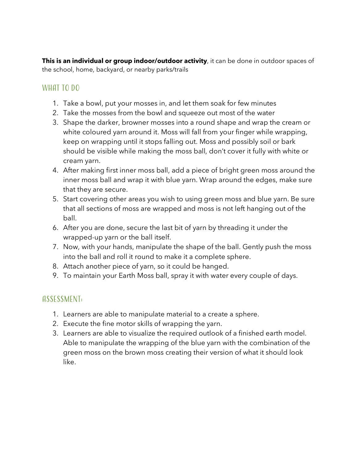**This is an individual or group indoor/outdoor activity**, it can be done in outdoor spaces of the school, home, backyard, or nearby parks/trails

### WHAT TO DO

- 1. Take a bowl, put your mosses in, and let them soak for few minutes
- 2. Take the mosses from the bowl and squeeze out most of the water
- 3. Shape the darker, browner mosses into a round shape and wrap the cream or white coloured yarn around it. Moss will fall from your finger while wrapping, keep on wrapping until it stops falling out. Moss and possibly soil or bark should be visible while making the moss ball, don't cover it fully with white or cream yarn.
- 4. After making first inner moss ball, add a piece of bright green moss around the inner moss ball and wrap it with blue yarn. Wrap around the edges, make sure that they are secure.
- 5. Start covering other areas you wish to using green moss and blue yarn. Be sure that all sections of moss are wrapped and moss is not left hanging out of the ball.
- 6. After you are done, secure the last bit of yarn by threading it under the wrapped-up yarn or the ball itself.
- 7. Now, with your hands, manipulate the shape of the ball. Gently push the moss into the ball and roll it round to make it a complete sphere.
- 8. Attach another piece of yarn, so it could be hanged.
- 9. To maintain your Earth Moss ball, spray it with water every couple of days.

#### Assessment:

- 1. Learners are able to manipulate material to a create a sphere.
- 2. Execute the fine motor skills of wrapping the yarn.
- 3. Learners are able to visualize the required outlook of a finished earth model. Able to manipulate the wrapping of the blue yarn with the combination of the green moss on the brown moss creating their version of what it should look like.